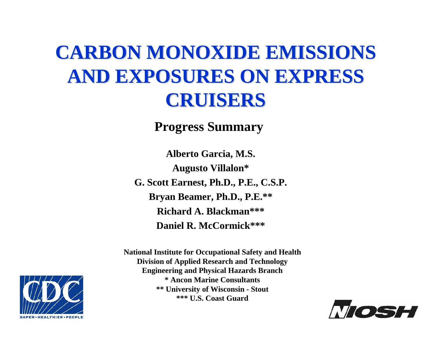## **CARBON MONOXIDE EMISSIONS AND EXPOSURES ON EXPRESS AND EXPOSURES ON EXPRESS CRUISERS CRUISERS**

#### **Progress Summary**

**Alberto Garcia, M.S. Augusto Villalon\* G. Scott Earnest, Ph.D., P.E., C.S.P. Bryan Beamer, Ph.D., P.E.\*\* Richard A. Blackman\*\*\*Daniel R. McCormick\*\*\***

**National Institute for Occupational Safety and Health Division of Applied Research and Technology Engineering and P hysical Hazards Branch \* Ancon Marine Consultants \*\* University of Wisconsin - Stout \*\*\* U.S. Coast Guard**



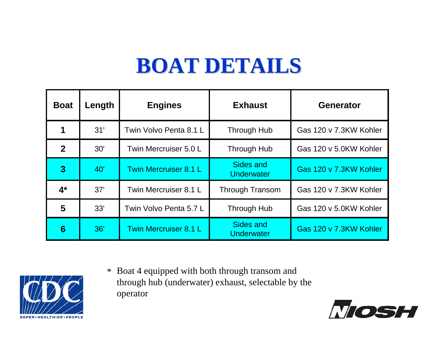## **BOAT DETAILS BOAT DETAILS**

| <b>Boat</b>    | Length | <b>Engines</b>         | <b>Exhaust</b>                 | <b>Generator</b>       |
|----------------|--------|------------------------|--------------------------------|------------------------|
|                | 31'    | Twin Volvo Penta 8.1 L | <b>Through Hub</b>             | Gas 120 v 7.3KW Kohler |
| 2 <sup>1</sup> | 30'    | Twin Mercruiser 5.0 L  | Through Hub                    | Gas 120 v 5.0KW Kohler |
| 3              | 40'    | Twin Mercruiser 8.1 L  | Sides and<br><b>Underwater</b> | Gas 120 v 7.3KW Kohler |
| $4^*$          | 37'    | Twin Mercruiser 8.1 L  | <b>Through Transom</b>         | Gas 120 v 7.3KW Kohler |
| 5              | 33'    | Twin Volvo Penta 5.7 L | Through Hub                    | Gas 120 v 5.0KW Kohler |
| 6              | 36'    | Twin Mercruiser 8.1 L  | Sides and<br>Underwater        | Gas 120 v 7.3KW Kohler |



Boat 4 equipped with both through transom and through hub (underw ater) exhaust, selectable by the operator \*

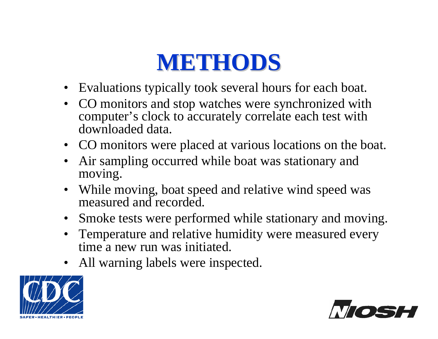## **METHODS METHODS**

- Evaluations typically took several hours for each boat.
- •CO monitors and stop watches were synchronized with computer's clock to accurately correlate each test with downloaded data.
- CO monitors were placed at various locations on the boat.
- •Air sampling occurred while boat was stationary and moving.
- While moving, boat speed and relative wind speed was measured and recorded.
- $\bullet$ Smoke tests were performed while stationary and moving.
- $\bullet$ Temperature and relative humidity were measured every time a new run was initiated.
- All warning labels were inspected.



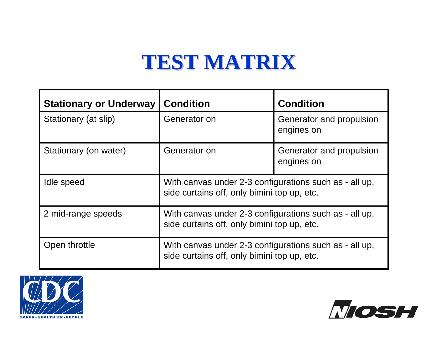#### **TEST MATRIX TEST MATRIX**

| <b>Stationary or Underway</b> | <b>Condition</b>                                                                                      | <b>Condition</b>                       |  |
|-------------------------------|-------------------------------------------------------------------------------------------------------|----------------------------------------|--|
| Stationary (at slip)          | Generator on                                                                                          | Generator and propulsion<br>engines on |  |
| Stationary (on water)         | Generator on                                                                                          | Generator and propulsion<br>engines on |  |
| Idle speed                    | With canvas under 2-3 configurations such as - all up,<br>side curtains off, only bimini top up, etc. |                                        |  |
| 2 mid-range speeds            | With canvas under 2-3 configurations such as - all up,<br>side curtains off, only bimini top up, etc. |                                        |  |
| Open throttle                 | With canvas under 2-3 configurations such as - all up,<br>side curtains off, only bimini top up, etc. |                                        |  |



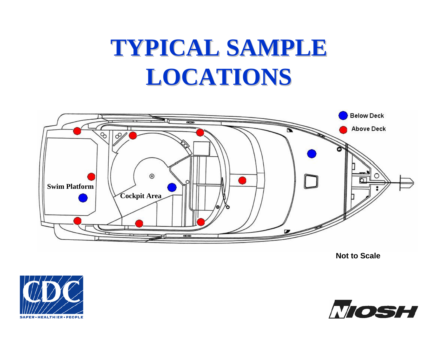# **TYPICAL SAMPLE LOCATIONS LOCATIONS**



**Not to Scale**



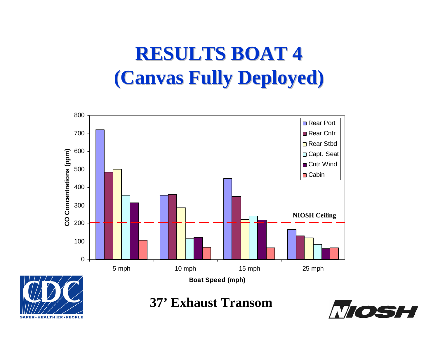#### **RESULTS BOAT 4 RESULTS BOAT 4 (Canvas Fully Deployed) (Canvas Fully Deployed)**



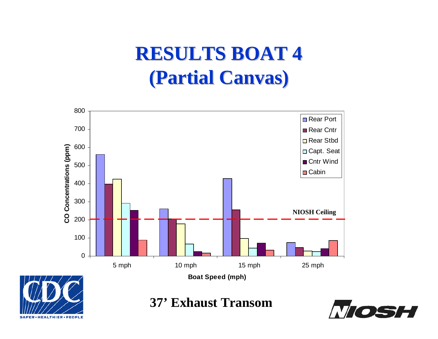#### **RESULTS BOAT 4 RESULTS BOAT 4 (Partial Canvas) (Partial Canvas)**





#### **37' Exhaust Transom**

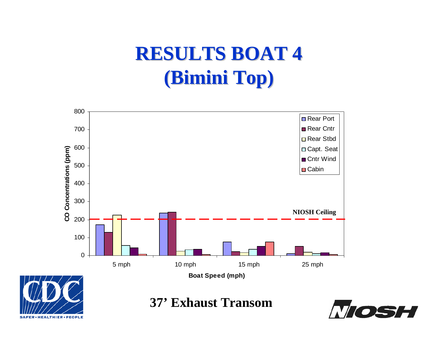#### **RESULTS BOAT 4 RESULTS BOAT 4 (Bimini Top)**





**37' Exhaust Transom**

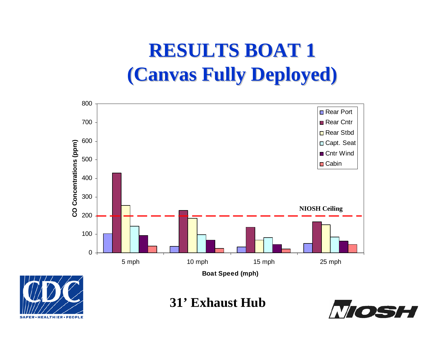### **RESULTS BOAT 1 RESULTS BOAT 1 (Canvas Fully Deployed) (Canvas Fully Deployed)**



**31' Exhaust Hub**

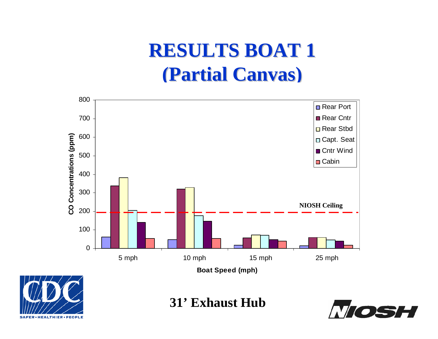#### **RESULTS BOAT 1 RESULTS BOAT 1 (Partial Canvas) (Partial Canvas)**





**31' Exhaust Hub**

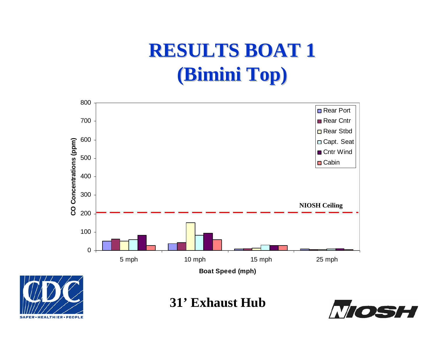### **RESULTS BOAT 1 (Bimini Top)**



**31' Exhaust Hub**

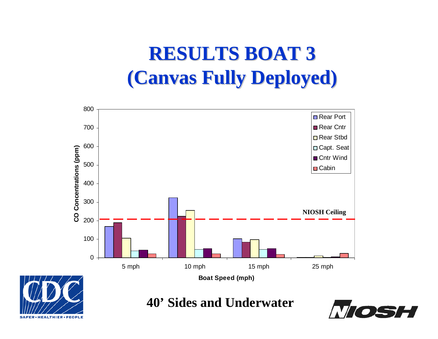### **RESULTS BOAT 3 RESULTS BOAT 3 (Canvas Fully Deployed) (Canvas Fully Deployed)**





**40' Sides and Underwater**

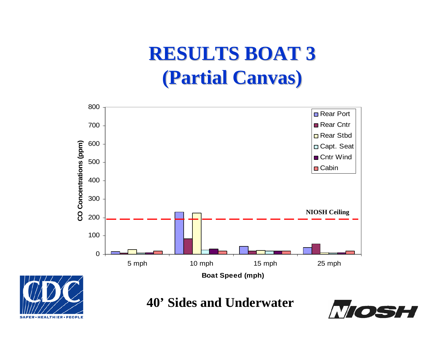#### **RESULTS BOAT 3 RESULTS BOAT 3 (Partial Canvas) (Partial Canvas)**





**40' Sides and Underwater**

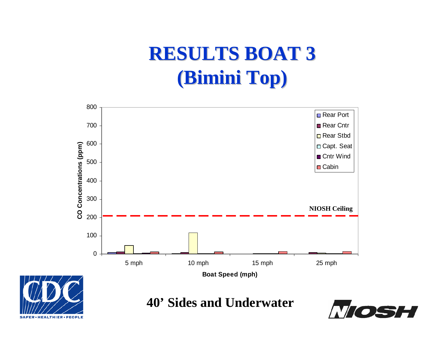### **RESULTS BOAT 3 RESULTS BOAT 3 (Bimini Top)**





**40' Sides and Underwater**

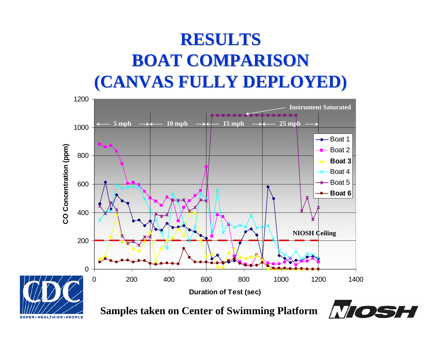#### **RESULTS RESULTS BOAT COMPARISON (CANVAS FULLY DEPLOYED) (CANVAS FULLY DEPLOYED)**



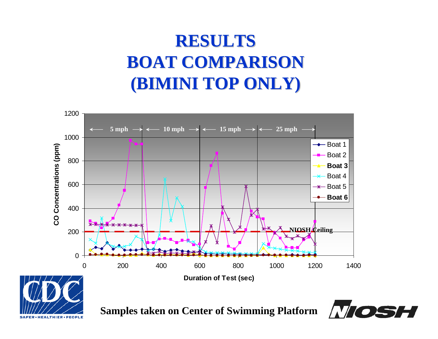#### **RESULTS BOAT COMPARISON BOAT COMPARISON (BIMINI TOP ONLY) (BIMINI TOP ONLY)**



**Samples taken on Center of Swimming Platform**

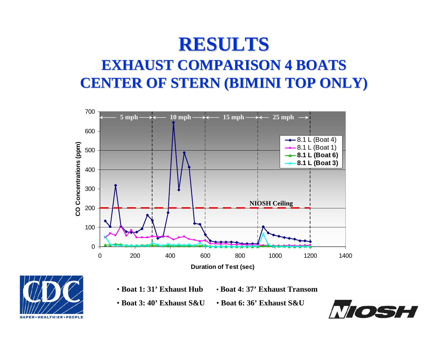## **RESULTS RESULTS**

#### **EXHAUST COMPARISON 4 BOATS EXHAUST COMPARISON 4 BOATSCENTER OF STERN (BIMINI TOP ONLY) CENTER OF STERN (BIMINI TOP ONLY)**





- **Boat 1: 31' Exhaust Hub**
	- **Boat 4: 37' Exhaust Transom**
- **Boat 3: 40' Exhaust S&U**• **Boat 6: 36' Exhaust S&U**

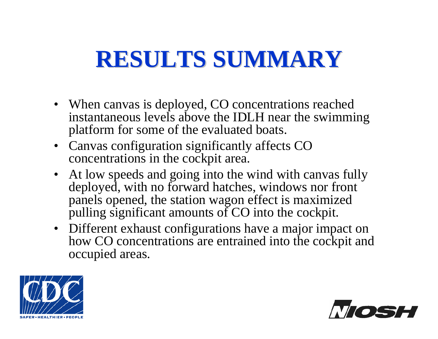## **RESULTS SUMMARY RESULTS SUMMARY**

- When canvas is deployed, CO concentrations reached instantaneous levels above the IDLH near the swimming platform for some of the evaluated boats.
- Canvas configuration significantly affects CO concentrations in the cockpit area.
- At low speeds and going into the wind with canvas fully deployed, with no forward hatches, windows nor front panels opened, the station wagon effect is maximized pulling significant amounts of CO into the cockpit.
- Different exhaust configurations have a major impact on how CO concentrations are entrained into the cockpit and occupied areas.



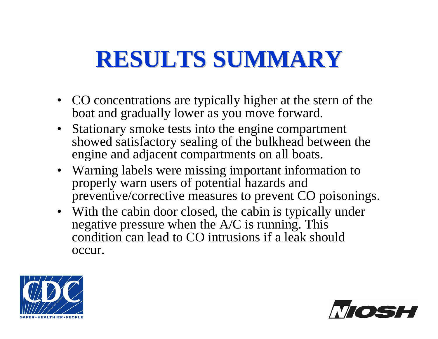## **RESULTS SUMMARY RESULTS SUMMARY**

- CO concentrations are typically higher at the stern of the boat and gradually lower as you move forward.
- Stationary smoke tests into the engine compartment showed satisfactory sealing of the bulkhead between the engine and adjacent compartments on all boats.
- Warning labels were missing important information to properly warn users of potential hazards and preventive/corrective measures to prevent CO poisonings.
- With the cabin door closed, the cabin is typically under negative pressure when the A/C is running. This condition can lead to CO intrusions if a leak should occur.



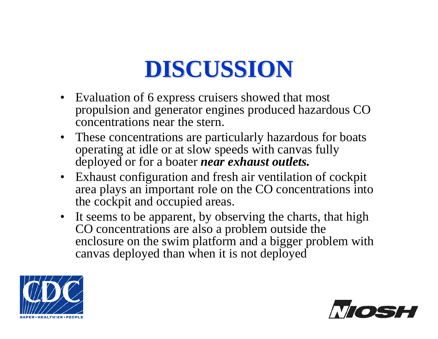## **DISCUSSION DISCUSSION**

- Evaluation of 6 express cruisers showed that most propulsion and generator engines produced hazardous CO concentrations near the stern.
- These concentrations are particularly hazardous for boats operating at idle or at slow speeds with canvas fully deployed or for a boater *near exhaust outlets.*
- Exhaust configuration and fresh air ventilation of cockpit area plays an important role on the CO concentrations into the cockpit and occupied areas.
- It seems to be apparent, by observing the charts, that high CO concentrations are also a problem outside the enclosure on the swim platform and a bigger problem with canvas deployed than when it is not deployed



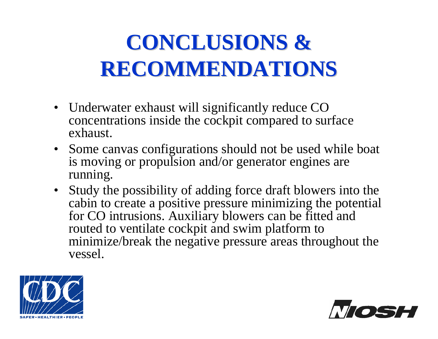## **CONCLUSIONS & RECOMMENDATIONS RECOMMENDATIONS**

- Underwater exhaust will significantly reduce CO concentrations inside the cockpit compared to surface exhaust.
- Some canvas configurations should not be used while boat is moving or propulsion and/or generator engines are running.
- Study the possibility of adding force draft blowers into the cabin to create a positive pressure minimizing the potential for CO intrusions. Auxiliary blowers can be fitted and routed to ventilate cockpit and swim platform to minimize/break the negative pressure areas throughout the vessel.



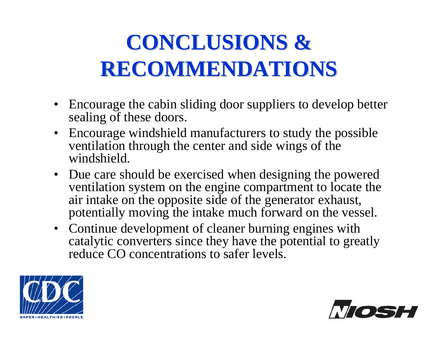## **CONCLUSIONS & RECOMMENDATIONS RECOMMENDATIONS**

- Encourage the cabin sliding door suppliers to develop better sealing of these doors.
- Encourage windshield manufacturers to study the possible ventilation through the center and side wings of the windshield.
- Due care should be exercised when designing the powered ventilation system on the engine compartment to locate the air intake on the opposite side of the generator exhaust, potentially moving the intake much forward on the vessel.
- Continue development of cleaner burning engines with catalytic converters since they have the potential to greatly reduce CO concentrations to safer levels.